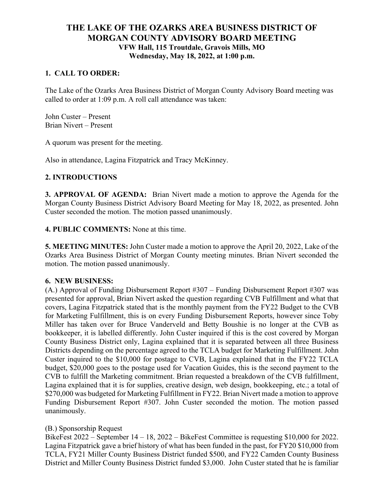# **THE LAKE OF THE OZARKS AREA BUSINESS DISTRICT OF MORGAN COUNTY ADVISORY BOARD MEETING VFW Hall, 115 Troutdale, Gravois Mills, MO Wednesday, May 18, 2022, at 1:00 p.m.**

### **1. CALL TO ORDER:**

The Lake of the Ozarks Area Business District of Morgan County Advisory Board meeting was called to order at 1:09 p.m. A roll call attendance was taken:

John Custer – Present Brian Nivert – Present

A quorum was present for the meeting.

Also in attendance, Lagina Fitzpatrick and Tracy McKinney.

### **2. INTRODUCTIONS**

**3. APPROVAL OF AGENDA:** Brian Nivert made a motion to approve the Agenda for the Morgan County Business District Advisory Board Meeting for May 18, 2022, as presented. John Custer seconded the motion. The motion passed unanimously.

**4. PUBLIC COMMENTS:** None at this time.

**5. MEETING MINUTES:** John Custer made a motion to approve the April 20, 2022, Lake of the Ozarks Area Business District of Morgan County meeting minutes. Brian Nivert seconded the motion. The motion passed unanimously.

#### **6. NEW BUSINESS:**

(A.) Approval of Funding Disbursement Report #307 – Funding Disbursement Report #307 was presented for approval, Brian Nivert asked the question regarding CVB Fulfillment and what that covers, Lagina Fitzpatrick stated that is the monthly payment from the FY22 Budget to the CVB for Marketing Fulfillment, this is on every Funding Disbursement Reports, however since Toby Miller has taken over for Bruce Vanderveld and Betty Boushie is no longer at the CVB as bookkeeper, it is labelled differently. John Custer inquired if this is the cost covered by Morgan County Business District only, Lagina explained that it is separated between all three Business Districts depending on the percentage agreed to the TCLA budget for Marketing Fulfillment. John Custer inquired to the \$10,000 for postage to CVB, Lagina explained that in the FY22 TCLA budget, \$20,000 goes to the postage used for Vacation Guides, this is the second payment to the CVB to fulfill the Marketing commitment. Brian requested a breakdown of the CVB fulfillment, Lagina explained that it is for supplies, creative design, web design, bookkeeping, etc.; a total of \$270,000 was budgeted for Marketing Fulfillment in FY22. Brian Nivert made a motion to approve Funding Disbursement Report #307. John Custer seconded the motion. The motion passed unanimously.

#### (B.) Sponsorship Request

BikeFest 2022 – September 14 – 18, 2022 – BikeFest Committee is requesting \$10,000 for 2022. Lagina Fitzpatrick gave a brief history of what has been funded in the past, for FY20 \$10,000 from TCLA, FY21 Miller County Business District funded \$500, and FY22 Camden County Business District and Miller County Business District funded \$3,000. John Custer stated that he is familiar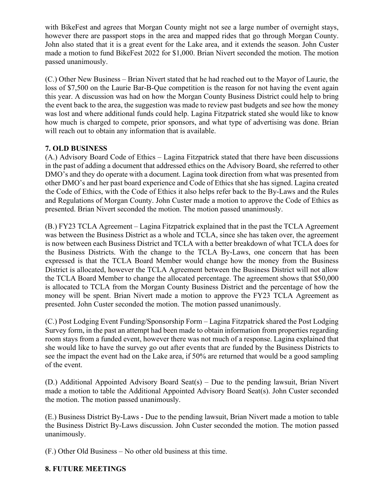with BikeFest and agrees that Morgan County might not see a large number of overnight stays, however there are passport stops in the area and mapped rides that go through Morgan County. John also stated that it is a great event for the Lake area, and it extends the season. John Custer made a motion to fund BikeFest 2022 for \$1,000. Brian Nivert seconded the motion. The motion passed unanimously.

(C.) Other New Business – Brian Nivert stated that he had reached out to the Mayor of Laurie, the loss of \$7,500 on the Laurie Bar-B-Que competition is the reason for not having the event again this year. A discussion was had on how the Morgan County Business District could help to bring the event back to the area, the suggestion was made to review past budgets and see how the money was lost and where additional funds could help. Lagina Fitzpatrick stated she would like to know how much is charged to compete, prior sponsors, and what type of advertising was done. Brian will reach out to obtain any information that is available.

## **7. OLD BUSINESS**

(A.) Advisory Board Code of Ethics – Lagina Fitzpatrick stated that there have been discussions in the past of adding a document that addressed ethics on the Advisory Board, she referred to other DMO's and they do operate with a document. Lagina took direction from what was presented from other DMO's and her past board experience and Code of Ethics that she has signed. Lagina created the Code of Ethics, with the Code of Ethics it also helps refer back to the By-Laws and the Rules and Regulations of Morgan County. John Custer made a motion to approve the Code of Ethics as presented. Brian Nivert seconded the motion. The motion passed unanimously.

(B.) FY23 TCLA Agreement – Lagina Fitzpatrick explained that in the past the TCLA Agreement was between the Business District as a whole and TCLA, since she has taken over, the agreement is now between each Business District and TCLA with a better breakdown of what TCLA does for the Business Districts. With the change to the TCLA By-Laws, one concern that has been expressed is that the TCLA Board Member would change how the money from the Business District is allocated, however the TCLA Agreement between the Business District will not allow the TCLA Board Member to change the allocated percentage. The agreement shows that \$50,000 is allocated to TCLA from the Morgan County Business District and the percentage of how the money will be spent. Brian Nivert made a motion to approve the FY23 TCLA Agreement as presented. John Custer seconded the motion. The motion passed unanimously.

(C.) Post Lodging Event Funding/Sponsorship Form – Lagina Fitzpatrick shared the Post Lodging Survey form, in the past an attempt had been made to obtain information from properties regarding room stays from a funded event, however there was not much of a response. Lagina explained that she would like to have the survey go out after events that are funded by the Business Districts to see the impact the event had on the Lake area, if 50% are returned that would be a good sampling of the event.

(D.) Additional Appointed Advisory Board Seat(s) – Due to the pending lawsuit, Brian Nivert made a motion to table the Additional Appointed Advisory Board Seat(s). John Custer seconded the motion. The motion passed unanimously.

(E.) Business District By-Laws - Due to the pending lawsuit, Brian Nivert made a motion to table the Business District By-Laws discussion. John Custer seconded the motion. The motion passed unanimously.

(F.) Other Old Business – No other old business at this time.

## **8. FUTURE MEETINGS**